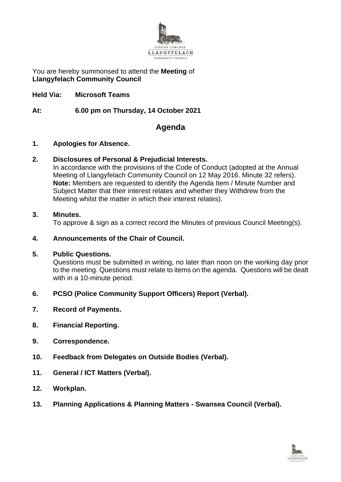

You are hereby summonsed to attend the **Meeting** of **Llangyfelach Community Council**

**Held Via: Microsoft Teams**

**At: 6.00 pm on Thursday, 14 October 2021**

# **Agenda**

#### **1. Apologies for Absence.**

#### **2. Disclosures of Personal & Prejudicial Interests.**

In accordance with the provisions of the Code of Conduct (adopted at the Annual Meeting of Llangyfelach Community Council on 12 May 2016. Minute 32 refers). **Note:** Members are requested to identify the Agenda Item / Minute Number and Subject Matter that their interest relates and whether they Withdrew from the Meeting whilst the matter in which their interest relates).

#### **3. Minutes.**

To approve & sign as a correct record the Minutes of previous Council Meeting(s).

### **4. Announcements of the Chair of Council.**

#### **5. Public Questions.**

Questions must be submitted in writing, no later than noon on the working day prior to the meeting. Questions must relate to items on the agenda. Questions will be dealt with in a 10-minute period.

## **6. PCSO (Police Community Support Officers) Report (Verbal).**

- **7. Record of Payments.**
- **8. Financial Reporting.**
- **9. Correspondence.**
- **10. Feedback from Delegates on Outside Bodies (Verbal).**
- **11. General / ICT Matters (Verbal).**
- **12. Workplan.**
- **13. Planning Applications & Planning Matters - Swansea Council (Verbal).**